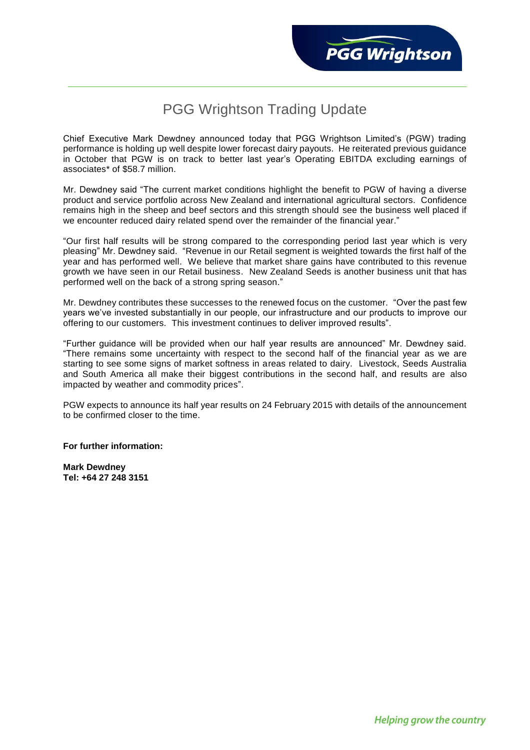## PGG Wrightson Trading Update

Chief Executive Mark Dewdney announced today that PGG Wrightson Limited's (PGW) trading performance is holding up well despite lower forecast dairy payouts. He reiterated previous guidance in October that PGW is on track to better last year's Operating EBITDA excluding earnings of associates\* of \$58.7 million.

Mr. Dewdney said "The current market conditions highlight the benefit to PGW of having a diverse product and service portfolio across New Zealand and international agricultural sectors. Confidence remains high in the sheep and beef sectors and this strength should see the business well placed if we encounter reduced dairy related spend over the remainder of the financial year."

"Our first half results will be strong compared to the corresponding period last year which is very pleasing" Mr. Dewdney said. "Revenue in our Retail segment is weighted towards the first half of the year and has performed well. We believe that market share gains have contributed to this revenue growth we have seen in our Retail business. New Zealand Seeds is another business unit that has performed well on the back of a strong spring season."

Mr. Dewdney contributes these successes to the renewed focus on the customer. "Over the past few years we've invested substantially in our people, our infrastructure and our products to improve our offering to our customers. This investment continues to deliver improved results".

"Further guidance will be provided when our half year results are announced" Mr. Dewdney said. "There remains some uncertainty with respect to the second half of the financial year as we are starting to see some signs of market softness in areas related to dairy. Livestock, Seeds Australia and South America all make their biggest contributions in the second half, and results are also impacted by weather and commodity prices".

PGW expects to announce its half year results on 24 February 2015 with details of the announcement to be confirmed closer to the time.

## **For further information:**

**Mark Dewdney Tel: +64 27 248 3151**